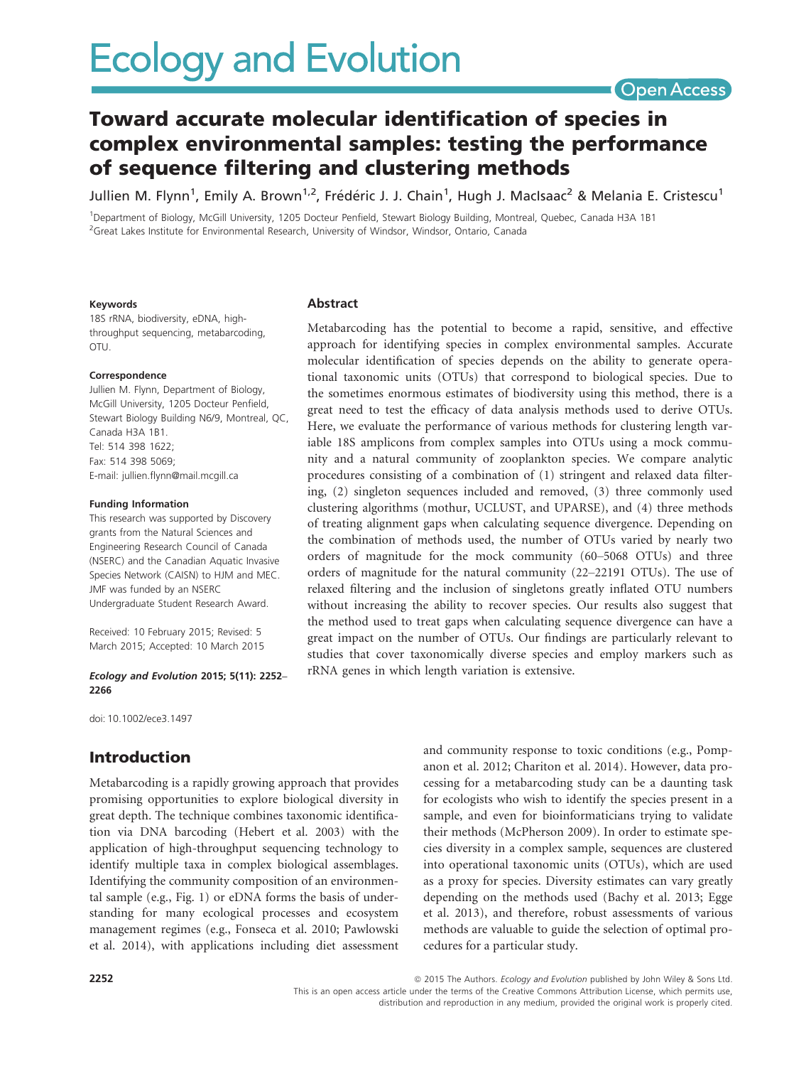# Toward accurate molecular identification of species in complex environmental samples: testing the performance of sequence filtering and clustering methods

Jullien M. Flynn<sup>1</sup>, Emily A. Brown<sup>1,2</sup>, Frédéric J. J. Chain<sup>1</sup>, Hugh J. MacIsaac<sup>2</sup> & Melania E. Cristescu<sup>1</sup>

1 Department of Biology, McGill University, 1205 Docteur Penfield, Stewart Biology Building, Montreal, Quebec, Canada H3A 1B1 <sup>2</sup>Great Lakes Institute for Environmental Research, University of Windsor, Windsor, Ontario, Canada

#### Keywords

18S rRNA, biodiversity, eDNA, highthroughput sequencing, metabarcoding, OTU.

#### Correspondence

Jullien M. Flynn, Department of Biology, McGill University, 1205 Docteur Penfield, Stewart Biology Building N6/9, Montreal, QC, Canada H3A 1B1. Tel: 514 398 1622; Fax: 514 398 5069; E-mail: jullien.flynn@mail.mcgill.ca

#### Funding Information

This research was supported by Discovery grants from the Natural Sciences and Engineering Research Council of Canada (NSERC) and the Canadian Aquatic Invasive Species Network (CAISN) to HJM and MEC. JMF was funded by an NSERC Undergraduate Student Research Award.

Received: 10 February 2015; Revised: 5 March 2015; Accepted: 10 March 2015

#### Ecology and Evolution 2015; 5(11): 2252– 2266

doi: 10.1002/ece3.1497

# Introduction

Metabarcoding is a rapidly growing approach that provides promising opportunities to explore biological diversity in great depth. The technique combines taxonomic identification via DNA barcoding (Hebert et al. 2003) with the application of high-throughput sequencing technology to identify multiple taxa in complex biological assemblages. Identifying the community composition of an environmental sample (e.g., Fig. 1) or eDNA forms the basis of understanding for many ecological processes and ecosystem management regimes (e.g., Fonseca et al. 2010; Pawlowski et al. 2014), with applications including diet assessment

# Abstract

Metabarcoding has the potential to become a rapid, sensitive, and effective approach for identifying species in complex environmental samples. Accurate molecular identification of species depends on the ability to generate operational taxonomic units (OTUs) that correspond to biological species. Due to the sometimes enormous estimates of biodiversity using this method, there is a great need to test the efficacy of data analysis methods used to derive OTUs. Here, we evaluate the performance of various methods for clustering length variable 18S amplicons from complex samples into OTUs using a mock community and a natural community of zooplankton species. We compare analytic procedures consisting of a combination of (1) stringent and relaxed data filtering, (2) singleton sequences included and removed, (3) three commonly used clustering algorithms (mothur, UCLUST, and UPARSE), and (4) three methods of treating alignment gaps when calculating sequence divergence. Depending on the combination of methods used, the number of OTUs varied by nearly two orders of magnitude for the mock community (60–5068 OTUs) and three orders of magnitude for the natural community (22–22191 OTUs). The use of relaxed filtering and the inclusion of singletons greatly inflated OTU numbers without increasing the ability to recover species. Our results also suggest that the method used to treat gaps when calculating sequence divergence can have a great impact on the number of OTUs. Our findings are particularly relevant to studies that cover taxonomically diverse species and employ markers such as rRNA genes in which length variation is extensive.

> and community response to toxic conditions (e.g., Pompanon et al. 2012; Chariton et al. 2014). However, data processing for a metabarcoding study can be a daunting task for ecologists who wish to identify the species present in a sample, and even for bioinformaticians trying to validate their methods (McPherson 2009). In order to estimate species diversity in a complex sample, sequences are clustered into operational taxonomic units (OTUs), which are used as a proxy for species. Diversity estimates can vary greatly depending on the methods used (Bachy et al. 2013; Egge et al. 2013), and therefore, robust assessments of various methods are valuable to guide the selection of optimal procedures for a particular study.

2252 **2252 2015** The Authors. *Ecology and Evolution published by John Wiley & Sons Ltd.* This is an open access article under the terms of the Creative Commons Attribution License, which permits use, distribution and reproduction in any medium, provided the original work is properly cited.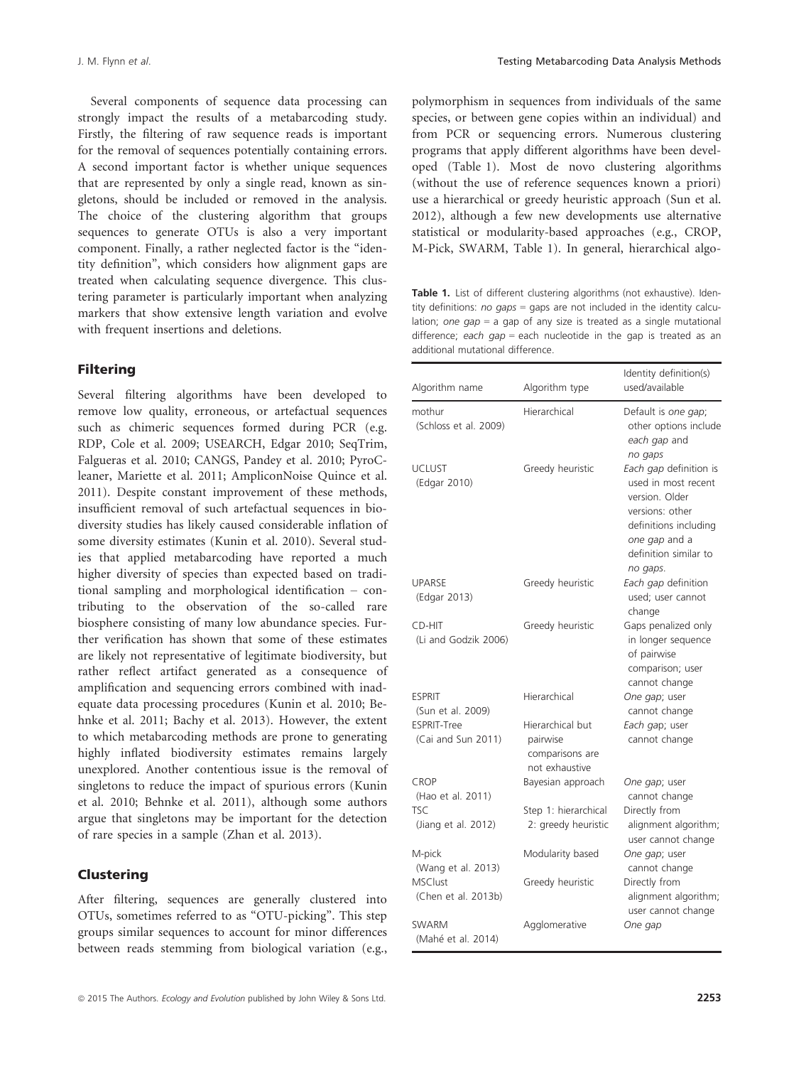Several components of sequence data processing can strongly impact the results of a metabarcoding study. Firstly, the filtering of raw sequence reads is important for the removal of sequences potentially containing errors. A second important factor is whether unique sequences that are represented by only a single read, known as singletons, should be included or removed in the analysis. The choice of the clustering algorithm that groups sequences to generate OTUs is also a very important component. Finally, a rather neglected factor is the "identity definition", which considers how alignment gaps are treated when calculating sequence divergence. This clustering parameter is particularly important when analyzing markers that show extensive length variation and evolve with frequent insertions and deletions.

# Filtering

Several filtering algorithms have been developed to remove low quality, erroneous, or artefactual sequences such as chimeric sequences formed during PCR (e.g. RDP, Cole et al. 2009; USEARCH, Edgar 2010; SeqTrim, Falgueras et al. 2010; CANGS, Pandey et al. 2010; PyroCleaner, Mariette et al. 2011; AmpliconNoise Quince et al. 2011). Despite constant improvement of these methods, insufficient removal of such artefactual sequences in biodiversity studies has likely caused considerable inflation of some diversity estimates (Kunin et al. 2010). Several studies that applied metabarcoding have reported a much higher diversity of species than expected based on traditional sampling and morphological identification – contributing to the observation of the so-called rare biosphere consisting of many low abundance species. Further verification has shown that some of these estimates are likely not representative of legitimate biodiversity, but rather reflect artifact generated as a consequence of amplification and sequencing errors combined with inadequate data processing procedures (Kunin et al. 2010; Behnke et al. 2011; Bachy et al. 2013). However, the extent to which metabarcoding methods are prone to generating highly inflated biodiversity estimates remains largely unexplored. Another contentious issue is the removal of singletons to reduce the impact of spurious errors (Kunin et al. 2010; Behnke et al. 2011), although some authors argue that singletons may be important for the detection of rare species in a sample (Zhan et al. 2013).

### Clustering

After filtering, sequences are generally clustered into OTUs, sometimes referred to as "OTU-picking". This step groups similar sequences to account for minor differences between reads stemming from biological variation (e.g., polymorphism in sequences from individuals of the same species, or between gene copies within an individual) and from PCR or sequencing errors. Numerous clustering programs that apply different algorithms have been developed (Table 1). Most de novo clustering algorithms (without the use of reference sequences known a priori) use a hierarchical or greedy heuristic approach (Sun et al. 2012), although a few new developments use alternative statistical or modularity-based approaches (e.g., CROP, M-Pick, SWARM, Table 1). In general, hierarchical algo-

Table 1. List of different clustering algorithms (not exhaustive). Identity definitions: no gaps = gaps are not included in the identity calculation; one gap = a gap of any size is treated as a single mutational difference; each gap = each nucleotide in the gap is treated as an additional mutational difference.

| Algorithm name                           | Algorithm type                                                    | Identity definition(s)<br>used/available                                                                                                                          |
|------------------------------------------|-------------------------------------------------------------------|-------------------------------------------------------------------------------------------------------------------------------------------------------------------|
| mothur<br>(Schloss et al. 2009)          | Hierarchical                                                      | Default is one gap;<br>other options include<br>each gap and<br>no gaps                                                                                           |
| <b>UCLUST</b><br>(Edgar 2010)            | Greedy heuristic                                                  | Each gap definition is<br>used in most recent<br>version. Older<br>versions: other<br>definitions including<br>one gap and a<br>definition similar to<br>no gaps. |
| <b>UPARSE</b><br>(Edgar 2013)            | Greedy heuristic                                                  | Each gap definition<br>used; user cannot<br>change                                                                                                                |
| CD-HIT<br>(Li and Godzik 2006)           | Greedy heuristic                                                  | Gaps penalized only<br>in longer sequence<br>of pairwise<br>comparison; user<br>cannot change                                                                     |
| <b>ESPRIT</b><br>(Sun et al. 2009)       | Hierarchical                                                      | One gap; user<br>cannot change                                                                                                                                    |
| <b>ESPRIT-Tree</b><br>(Cai and Sun 2011) | Hierarchical but<br>pairwise<br>comparisons are<br>not exhaustive | Each gap; user<br>cannot change                                                                                                                                   |
| CROP<br>(Hao et al. 2011)                | Bayesian approach                                                 | One gap; user<br>cannot change                                                                                                                                    |
| <b>TSC</b><br>(Jiang et al. 2012)        | Step 1: hierarchical<br>2: greedy heuristic                       | Directly from<br>alignment algorithm;<br>user cannot change                                                                                                       |
| M-pick<br>(Wang et al. 2013)             | Modularity based                                                  | One gap; user<br>cannot change                                                                                                                                    |
| <b>MSClust</b><br>(Chen et al. 2013b)    | Greedy heuristic                                                  | Directly from<br>alignment algorithm;<br>user cannot change                                                                                                       |
| <b>SWARM</b><br>(Mahé et al. 2014)       | Agglomerative                                                     | One gap                                                                                                                                                           |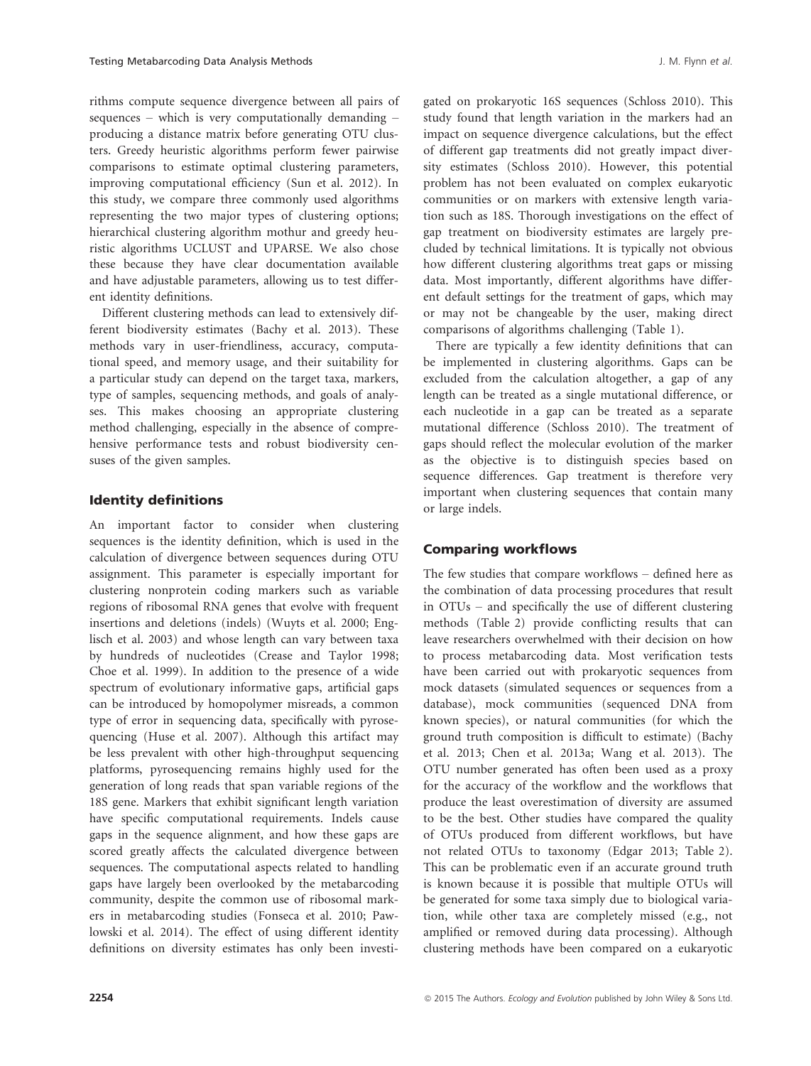rithms compute sequence divergence between all pairs of sequences – which is very computationally demanding – producing a distance matrix before generating OTU clusters. Greedy heuristic algorithms perform fewer pairwise comparisons to estimate optimal clustering parameters, improving computational efficiency (Sun et al. 2012). In this study, we compare three commonly used algorithms representing the two major types of clustering options; hierarchical clustering algorithm mothur and greedy heuristic algorithms UCLUST and UPARSE. We also chose these because they have clear documentation available and have adjustable parameters, allowing us to test different identity definitions.

Different clustering methods can lead to extensively different biodiversity estimates (Bachy et al. 2013). These methods vary in user-friendliness, accuracy, computational speed, and memory usage, and their suitability for a particular study can depend on the target taxa, markers, type of samples, sequencing methods, and goals of analyses. This makes choosing an appropriate clustering method challenging, especially in the absence of comprehensive performance tests and robust biodiversity censuses of the given samples.

# Identity definitions

An important factor to consider when clustering sequences is the identity definition, which is used in the calculation of divergence between sequences during OTU assignment. This parameter is especially important for clustering nonprotein coding markers such as variable regions of ribosomal RNA genes that evolve with frequent insertions and deletions (indels) (Wuyts et al. 2000; Englisch et al. 2003) and whose length can vary between taxa by hundreds of nucleotides (Crease and Taylor 1998; Choe et al. 1999). In addition to the presence of a wide spectrum of evolutionary informative gaps, artificial gaps can be introduced by homopolymer misreads, a common type of error in sequencing data, specifically with pyrosequencing (Huse et al. 2007). Although this artifact may be less prevalent with other high-throughput sequencing platforms, pyrosequencing remains highly used for the generation of long reads that span variable regions of the 18S gene. Markers that exhibit significant length variation have specific computational requirements. Indels cause gaps in the sequence alignment, and how these gaps are scored greatly affects the calculated divergence between sequences. The computational aspects related to handling gaps have largely been overlooked by the metabarcoding community, despite the common use of ribosomal markers in metabarcoding studies (Fonseca et al. 2010; Pawlowski et al. 2014). The effect of using different identity definitions on diversity estimates has only been investigated on prokaryotic 16S sequences (Schloss 2010). This study found that length variation in the markers had an impact on sequence divergence calculations, but the effect of different gap treatments did not greatly impact diversity estimates (Schloss 2010). However, this potential problem has not been evaluated on complex eukaryotic communities or on markers with extensive length variation such as 18S. Thorough investigations on the effect of gap treatment on biodiversity estimates are largely precluded by technical limitations. It is typically not obvious how different clustering algorithms treat gaps or missing data. Most importantly, different algorithms have different default settings for the treatment of gaps, which may or may not be changeable by the user, making direct comparisons of algorithms challenging (Table 1).

There are typically a few identity definitions that can be implemented in clustering algorithms. Gaps can be excluded from the calculation altogether, a gap of any length can be treated as a single mutational difference, or each nucleotide in a gap can be treated as a separate mutational difference (Schloss 2010). The treatment of gaps should reflect the molecular evolution of the marker as the objective is to distinguish species based on sequence differences. Gap treatment is therefore very important when clustering sequences that contain many or large indels.

# Comparing workflows

The few studies that compare workflows – defined here as the combination of data processing procedures that result in OTUs – and specifically the use of different clustering methods (Table 2) provide conflicting results that can leave researchers overwhelmed with their decision on how to process metabarcoding data. Most verification tests have been carried out with prokaryotic sequences from mock datasets (simulated sequences or sequences from a database), mock communities (sequenced DNA from known species), or natural communities (for which the ground truth composition is difficult to estimate) (Bachy et al. 2013; Chen et al. 2013a; Wang et al. 2013). The OTU number generated has often been used as a proxy for the accuracy of the workflow and the workflows that produce the least overestimation of diversity are assumed to be the best. Other studies have compared the quality of OTUs produced from different workflows, but have not related OTUs to taxonomy (Edgar 2013; Table 2). This can be problematic even if an accurate ground truth is known because it is possible that multiple OTUs will be generated for some taxa simply due to biological variation, while other taxa are completely missed (e.g., not amplified or removed during data processing). Although clustering methods have been compared on a eukaryotic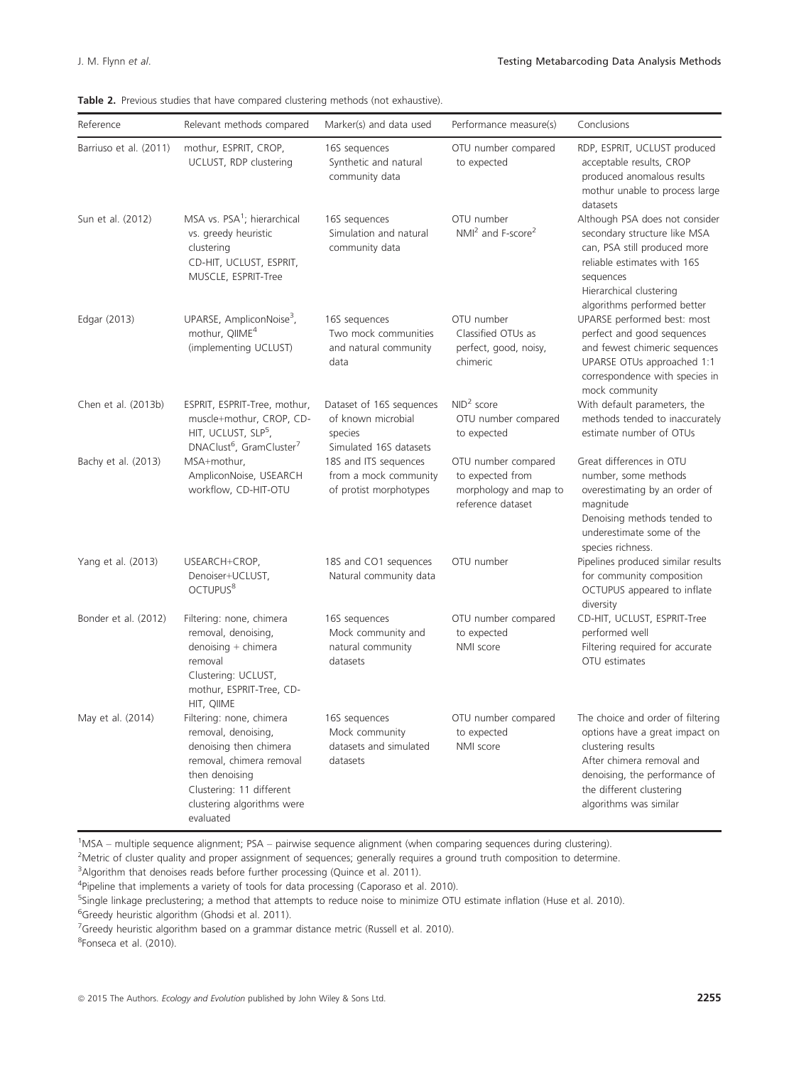| Reference              | Relevant methods compared                                                                                                                                                                      | Marker(s) and data used                                                             | Performance measure(s)                                                                | Conclusions                                                                                                                                                                                                   |
|------------------------|------------------------------------------------------------------------------------------------------------------------------------------------------------------------------------------------|-------------------------------------------------------------------------------------|---------------------------------------------------------------------------------------|---------------------------------------------------------------------------------------------------------------------------------------------------------------------------------------------------------------|
| Barriuso et al. (2011) | mothur, ESPRIT, CROP,<br>UCLUST, RDP clustering                                                                                                                                                | 16S sequences<br>Synthetic and natural<br>community data                            | OTU number compared<br>to expected                                                    | RDP, ESPRIT, UCLUST produced<br>acceptable results, CROP<br>produced anomalous results<br>mothur unable to process large<br>datasets                                                                          |
| Sun et al. (2012)      | MSA vs. PSA <sup>1</sup> ; hierarchical<br>vs. greedy heuristic<br>clustering<br>CD-HIT, UCLUST, ESPRIT,<br>MUSCLE, ESPRIT-Tree                                                                | 16S sequences<br>Simulation and natural<br>community data                           | OTU number<br>NMI <sup>2</sup> and F-score <sup>2</sup>                               | Although PSA does not consider<br>secondary structure like MSA<br>can, PSA still produced more<br>reliable estimates with 16S<br>sequences<br>Hierarchical clustering<br>algorithms performed better          |
| Edgar (2013)           | UPARSE, AmpliconNoise <sup>3</sup> ,<br>mothur, QIIME <sup>4</sup><br>(implementing UCLUST)                                                                                                    | 16S sequences<br>Two mock communities<br>and natural community<br>data              | OTU number<br>Classified OTUs as<br>perfect, good, noisy,<br>chimeric                 | UPARSE performed best: most<br>perfect and good sequences<br>and fewest chimeric sequences<br>UPARSE OTUs approached 1:1<br>correspondence with species in<br>mock community                                  |
| Chen et al. (2013b)    | ESPRIT, ESPRIT-Tree, mothur,<br>muscle+mothur, CROP, CD-<br>HIT, UCLUST, SLP <sup>5</sup> ,<br>DNAClust <sup>6</sup> , GramCluster <sup>7</sup>                                                | Dataset of 16S sequences<br>of known microbial<br>species<br>Simulated 16S datasets | $NID2$ score<br>OTU number compared<br>to expected                                    | With default parameters, the<br>methods tended to inaccurately<br>estimate number of OTUs                                                                                                                     |
| Bachy et al. (2013)    | MSA+mothur,<br>AmpliconNoise, USEARCH<br>workflow, CD-HIT-OTU                                                                                                                                  | 18S and ITS sequences<br>from a mock community<br>of protist morphotypes            | OTU number compared<br>to expected from<br>morphology and map to<br>reference dataset | Great differences in OTU<br>number, some methods<br>overestimating by an order of<br>magnitude<br>Denoising methods tended to<br>underestimate some of the<br>species richness.                               |
| Yang et al. (2013)     | USEARCH+CROP,<br>Denoiser+UCLUST,<br>OCTUPUS <sup>8</sup>                                                                                                                                      | 18S and CO1 sequences<br>Natural community data                                     | OTU number                                                                            | Pipelines produced similar results<br>for community composition<br>OCTUPUS appeared to inflate<br>diversity                                                                                                   |
| Bonder et al. (2012)   | Filtering: none, chimera<br>removal, denoising,<br>$denoising + chimera$<br>removal<br>Clustering: UCLUST,<br>mothur, ESPRIT-Tree, CD-<br>HIT, QIIME                                           | 16S sequences<br>Mock community and<br>natural community<br>datasets                | OTU number compared<br>to expected<br>NMI score                                       | CD-HIT, UCLUST, ESPRIT-Tree<br>performed well<br>Filtering required for accurate<br>OTU estimates                                                                                                             |
| May et al. (2014)      | Filtering: none, chimera<br>removal, denoising,<br>denoising then chimera<br>removal, chimera removal<br>then denoising<br>Clustering: 11 different<br>clustering algorithms were<br>evaluated | 16S sequences<br>Mock community<br>datasets and simulated<br>datasets               | OTU number compared<br>to expected<br>NMI score                                       | The choice and order of filtering<br>options have a great impact on<br>clustering results<br>After chimera removal and<br>denoising, the performance of<br>the different clustering<br>algorithms was similar |

1 MSA – multiple sequence alignment; PSA – pairwise sequence alignment (when comparing sequences during clustering).

<sup>2</sup>Metric of cluster quality and proper assignment of sequences; generally requires a ground truth composition to determine.

<sup>3</sup>Algorithm that denoises reads before further processing (Quince et al. 2011).

<sup>4</sup>Pipeline that implements a variety of tools for data processing (Caporaso et al. 2010).

<sup>5</sup>Single linkage preclustering; a method that attempts to reduce noise to minimize OTU estimate inflation (Huse et al. 2010).

<sup>6</sup>Greedy heuristic algorithm (Ghodsi et al. 2011).

 $7$ Greedy heuristic algorithm based on a grammar distance metric (Russell et al. 2010).

<sup>8</sup>Fonseca et al. (2010).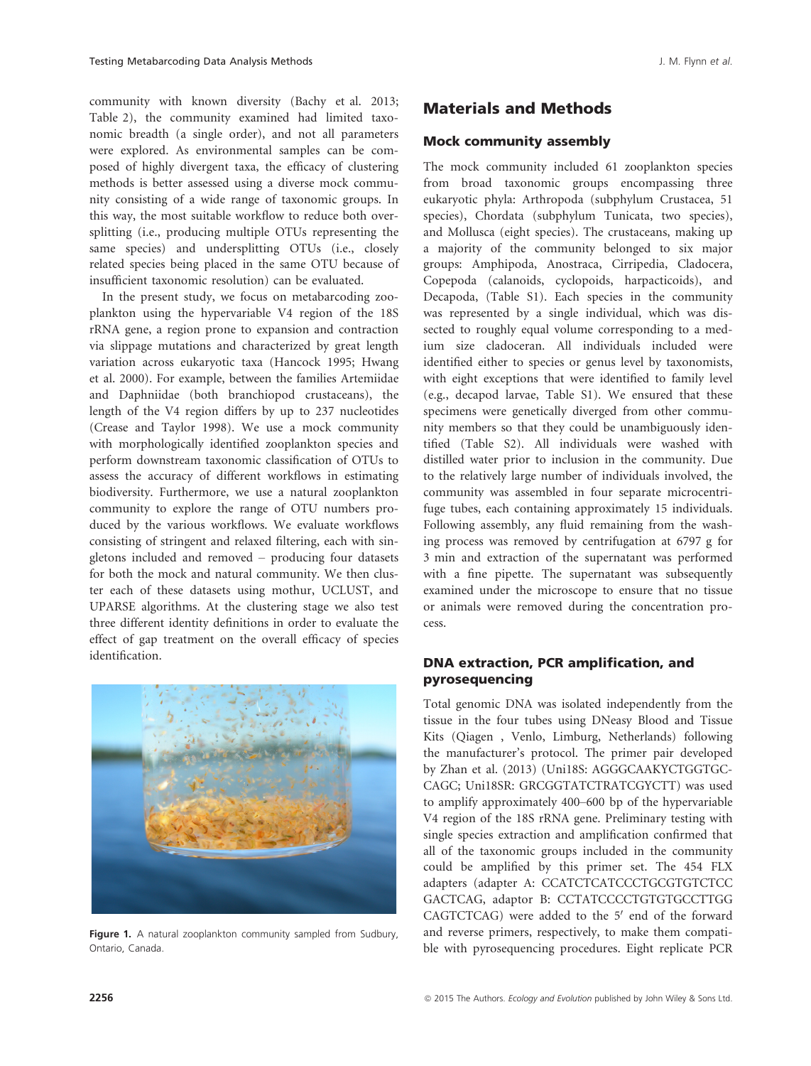community with known diversity (Bachy et al. 2013; Table 2), the community examined had limited taxonomic breadth (a single order), and not all parameters were explored. As environmental samples can be composed of highly divergent taxa, the efficacy of clustering methods is better assessed using a diverse mock community consisting of a wide range of taxonomic groups. In this way, the most suitable workflow to reduce both oversplitting (i.e., producing multiple OTUs representing the same species) and undersplitting OTUs (i.e., closely related species being placed in the same OTU because of insufficient taxonomic resolution) can be evaluated.

In the present study, we focus on metabarcoding zooplankton using the hypervariable V4 region of the 18S rRNA gene, a region prone to expansion and contraction via slippage mutations and characterized by great length variation across eukaryotic taxa (Hancock 1995; Hwang et al. 2000). For example, between the families Artemiidae and Daphniidae (both branchiopod crustaceans), the length of the V4 region differs by up to 237 nucleotides (Crease and Taylor 1998). We use a mock community with morphologically identified zooplankton species and perform downstream taxonomic classification of OTUs to assess the accuracy of different workflows in estimating biodiversity. Furthermore, we use a natural zooplankton community to explore the range of OTU numbers produced by the various workflows. We evaluate workflows consisting of stringent and relaxed filtering, each with singletons included and removed – producing four datasets for both the mock and natural community. We then cluster each of these datasets using mothur, UCLUST, and UPARSE algorithms. At the clustering stage we also test three different identity definitions in order to evaluate the effect of gap treatment on the overall efficacy of species identification.



Figure 1. A natural zooplankton community sampled from Sudbury, Ontario, Canada.

# Materials and Methods

### Mock community assembly

The mock community included 61 zooplankton species from broad taxonomic groups encompassing three eukaryotic phyla: Arthropoda (subphylum Crustacea, 51 species), Chordata (subphylum Tunicata, two species), and Mollusca (eight species). The crustaceans, making up a majority of the community belonged to six major groups: Amphipoda, Anostraca, Cirripedia, Cladocera, Copepoda (calanoids, cyclopoids, harpacticoids), and Decapoda, (Table S1). Each species in the community was represented by a single individual, which was dissected to roughly equal volume corresponding to a medium size cladoceran. All individuals included were identified either to species or genus level by taxonomists, with eight exceptions that were identified to family level (e.g., decapod larvae, Table S1). We ensured that these specimens were genetically diverged from other community members so that they could be unambiguously identified (Table S2). All individuals were washed with distilled water prior to inclusion in the community. Due to the relatively large number of individuals involved, the community was assembled in four separate microcentrifuge tubes, each containing approximately 15 individuals. Following assembly, any fluid remaining from the washing process was removed by centrifugation at 6797 g for 3 min and extraction of the supernatant was performed with a fine pipette. The supernatant was subsequently examined under the microscope to ensure that no tissue or animals were removed during the concentration process.

# DNA extraction, PCR amplification, and pyrosequencing

Total genomic DNA was isolated independently from the tissue in the four tubes using DNeasy Blood and Tissue Kits (Qiagen , Venlo, Limburg, Netherlands) following the manufacturer's protocol. The primer pair developed by Zhan et al. (2013) (Uni18S: AGGGCAAKYCTGGTGC-CAGC; Uni18SR: GRCGGTATCTRATCGYCTT) was used to amplify approximately 400–600 bp of the hypervariable V4 region of the 18S rRNA gene. Preliminary testing with single species extraction and amplification confirmed that all of the taxonomic groups included in the community could be amplified by this primer set. The 454 FLX adapters (adapter A: CCATCTCATCCCTGCGTGTCTCC GACTCAG, adaptor B: CCTATCCCCTGTGTGCCTTGG  $CAGTCTCAG$ ) were added to the  $5'$  end of the forward and reverse primers, respectively, to make them compatible with pyrosequencing procedures. Eight replicate PCR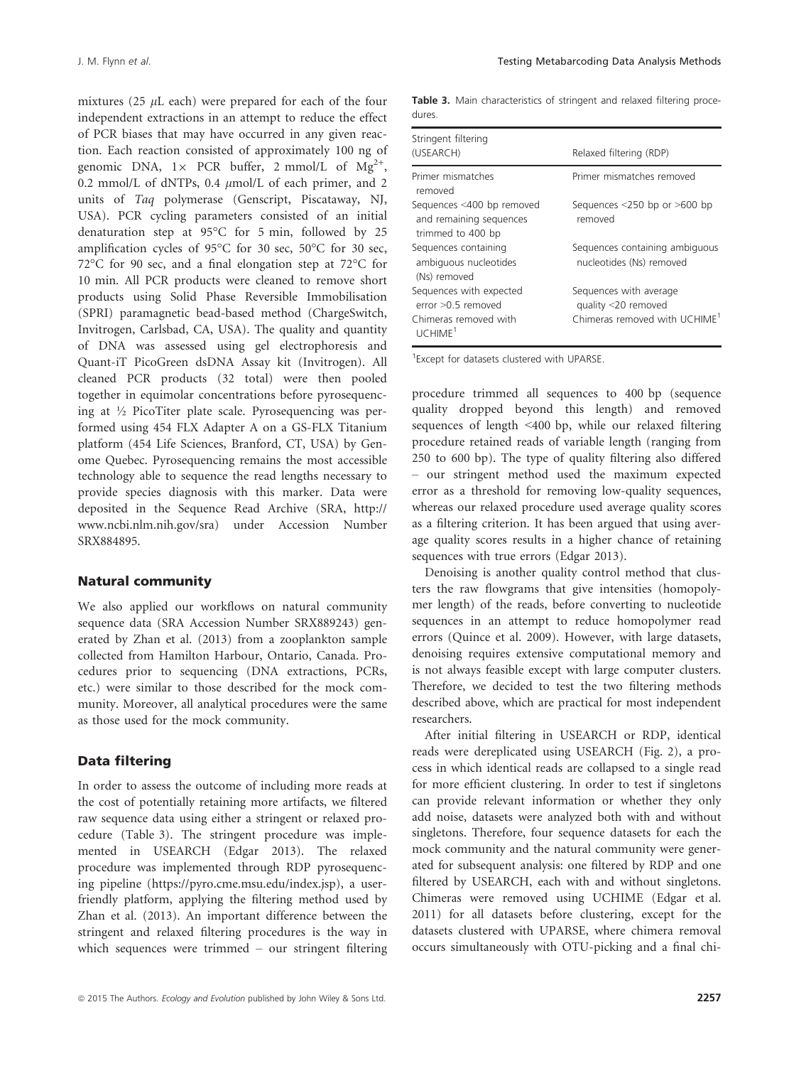mixtures (25  $\mu$ L each) were prepared for each of the four independent extractions in an attempt to reduce the effect of PCR biases that may have occurred in any given reaction. Each reaction consisted of approximately 100 ng of genomic DNA,  $1 \times$  PCR buffer, 2 mmol/L of Mg<sup>2+</sup>, 0.2 mmol/L of dNTPs, 0.4  $\mu$ mol/L of each primer, and 2 units of Taq polymerase (Genscript, Piscataway, NJ, USA). PCR cycling parameters consisted of an initial denaturation step at 95°C for 5 min, followed by 25 amplification cycles of 95°C for 30 sec, 50°C for 30 sec, 72°C for 90 sec, and a final elongation step at 72°C for 10 min. All PCR products were cleaned to remove short products using Solid Phase Reversible Immobilisation (SPRI) paramagnetic bead-based method (ChargeSwitch, Invitrogen, Carlsbad, CA, USA). The quality and quantity of DNA was assessed using gel electrophoresis and Quant-iT PicoGreen dsDNA Assay kit (Invitrogen). All cleaned PCR products (32 total) were then pooled together in equimolar concentrations before pyrosequencing at ½ PicoTiter plate scale. Pyrosequencing was performed using 454 FLX Adapter A on a GS-FLX Titanium platform (454 Life Sciences, Branford, CT, USA) by Genome Quebec. Pyrosequencing remains the most accessible technology able to sequence the read lengths necessary to provide species diagnosis with this marker. Data were deposited in the Sequence Read Archive (SRA, [http://](http://www.ncbi.nlm.nih.gov/sra) [www.ncbi.nlm.nih.gov/sra](http://www.ncbi.nlm.nih.gov/sra)) under Accession Number SRX884895.

### Natural community

We also applied our workflows on natural community sequence data (SRA Accession Number SRX889243) generated by Zhan et al. (2013) from a zooplankton sample collected from Hamilton Harbour, Ontario, Canada. Procedures prior to sequencing (DNA extractions, PCRs, etc.) were similar to those described for the mock community. Moreover, all analytical procedures were the same as those used for the mock community.

### Data filtering

In order to assess the outcome of including more reads at the cost of potentially retaining more artifacts, we filtered raw sequence data using either a stringent or relaxed procedure (Table 3). The stringent procedure was implemented in USEARCH (Edgar 2013). The relaxed procedure was implemented through RDP pyrosequencing pipeline ([https://pyro.cme.msu.edu/index.jsp\)](https://pyro.cme.msu.edu/index.jsp), a userfriendly platform, applying the filtering method used by Zhan et al. (2013). An important difference between the stringent and relaxed filtering procedures is the way in which sequences were trimmed – our stringent filtering

|        | Table 3. Main characteristics of stringent and relaxed filtering proce- |  |  |  |
|--------|-------------------------------------------------------------------------|--|--|--|
| dures. |                                                                         |  |  |  |

| Stringent filtering<br>(USEARCH)                                                                 | Relaxed filtering (RDP)                                                                    |
|--------------------------------------------------------------------------------------------------|--------------------------------------------------------------------------------------------|
| Primer mismatches<br>removed                                                                     | Primer mismatches removed                                                                  |
| Sequences <400 bp removed<br>and remaining sequences<br>trimmed to 400 bp                        | Sequences $<$ 250 bp or $>$ 600 bp<br>removed                                              |
| Sequences containing<br>ambiguous nucleotides<br>(Ns) removed                                    | Sequences containing ambiguous<br>nucleotides (Ns) removed                                 |
| Sequences with expected<br>$error > 0.5$ removed<br>Chimeras removed with<br>UCHIMF <sup>1</sup> | Sequences with average<br>quality <20 removed<br>Chimeras removed with UCHIME <sup>1</sup> |

1 Except for datasets clustered with UPARSE.

procedure trimmed all sequences to 400 bp (sequence quality dropped beyond this length) and removed sequences of length <400 bp, while our relaxed filtering procedure retained reads of variable length (ranging from 250 to 600 bp). The type of quality filtering also differed – our stringent method used the maximum expected error as a threshold for removing low-quality sequences, whereas our relaxed procedure used average quality scores as a filtering criterion. It has been argued that using average quality scores results in a higher chance of retaining sequences with true errors (Edgar 2013).

Denoising is another quality control method that clusters the raw flowgrams that give intensities (homopolymer length) of the reads, before converting to nucleotide sequences in an attempt to reduce homopolymer read errors (Quince et al. 2009). However, with large datasets, denoising requires extensive computational memory and is not always feasible except with large computer clusters. Therefore, we decided to test the two filtering methods described above, which are practical for most independent researchers.

After initial filtering in USEARCH or RDP, identical reads were dereplicated using USEARCH (Fig. 2), a process in which identical reads are collapsed to a single read for more efficient clustering. In order to test if singletons can provide relevant information or whether they only add noise, datasets were analyzed both with and without singletons. Therefore, four sequence datasets for each the mock community and the natural community were generated for subsequent analysis: one filtered by RDP and one filtered by USEARCH, each with and without singletons. Chimeras were removed using UCHIME (Edgar et al. 2011) for all datasets before clustering, except for the datasets clustered with UPARSE, where chimera removal occurs simultaneously with OTU-picking and a final chi-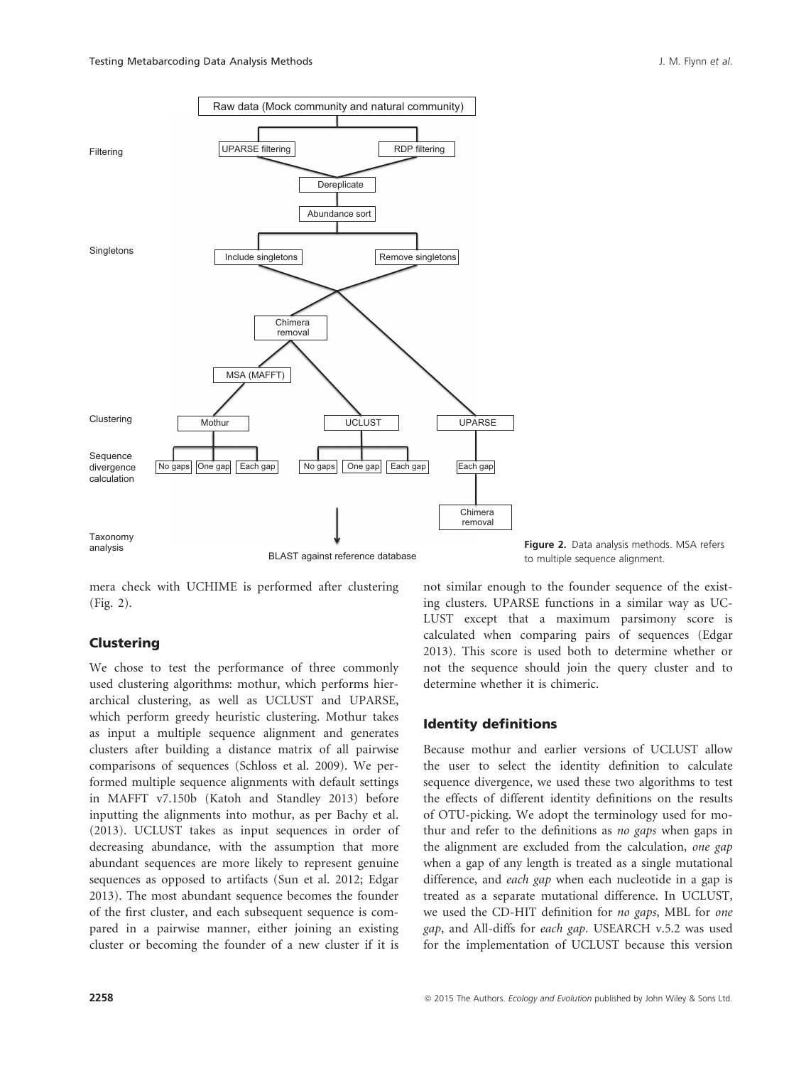

mera check with UCHIME is performed after clustering (Fig. 2).

# Clustering

We chose to test the performance of three commonly used clustering algorithms: mothur, which performs hierarchical clustering, as well as UCLUST and UPARSE, which perform greedy heuristic clustering. Mothur takes as input a multiple sequence alignment and generates clusters after building a distance matrix of all pairwise comparisons of sequences (Schloss et al. 2009). We performed multiple sequence alignments with default settings in MAFFT v7.150b (Katoh and Standley 2013) before inputting the alignments into mothur, as per Bachy et al. (2013). UCLUST takes as input sequences in order of decreasing abundance, with the assumption that more abundant sequences are more likely to represent genuine sequences as opposed to artifacts (Sun et al. 2012; Edgar 2013). The most abundant sequence becomes the founder of the first cluster, and each subsequent sequence is compared in a pairwise manner, either joining an existing cluster or becoming the founder of a new cluster if it is Figure 2. Data analysis methods. MSA refers to multiple sequence alignment.

not similar enough to the founder sequence of the existing clusters. UPARSE functions in a similar way as UC-LUST except that a maximum parsimony score is calculated when comparing pairs of sequences (Edgar 2013). This score is used both to determine whether or not the sequence should join the query cluster and to determine whether it is chimeric.

#### Identity definitions

Because mothur and earlier versions of UCLUST allow the user to select the identity definition to calculate sequence divergence, we used these two algorithms to test the effects of different identity definitions on the results of OTU-picking. We adopt the terminology used for mothur and refer to the definitions as no gaps when gaps in the alignment are excluded from the calculation, one gap when a gap of any length is treated as a single mutational difference, and each gap when each nucleotide in a gap is treated as a separate mutational difference. In UCLUST, we used the CD-HIT definition for no gaps, MBL for one gap, and All-diffs for each gap. USEARCH v.5.2 was used for the implementation of UCLUST because this version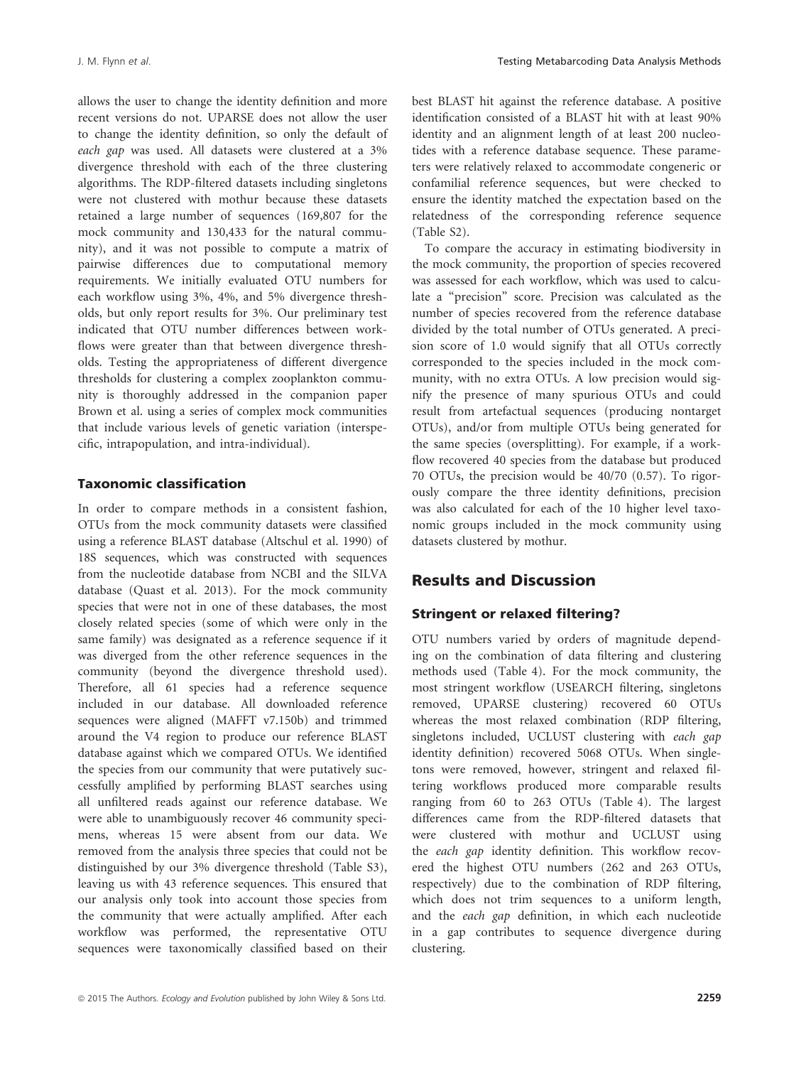allows the user to change the identity definition and more recent versions do not. UPARSE does not allow the user to change the identity definition, so only the default of each gap was used. All datasets were clustered at a 3% divergence threshold with each of the three clustering algorithms. The RDP-filtered datasets including singletons were not clustered with mothur because these datasets retained a large number of sequences (169,807 for the mock community and 130,433 for the natural community), and it was not possible to compute a matrix of pairwise differences due to computational memory requirements. We initially evaluated OTU numbers for each workflow using 3%, 4%, and 5% divergence thresholds, but only report results for 3%. Our preliminary test indicated that OTU number differences between workflows were greater than that between divergence thresholds. Testing the appropriateness of different divergence thresholds for clustering a complex zooplankton community is thoroughly addressed in the companion paper Brown et al. using a series of complex mock communities that include various levels of genetic variation (interspecific, intrapopulation, and intra-individual).

#### Taxonomic classification

In order to compare methods in a consistent fashion, OTUs from the mock community datasets were classified using a reference BLAST database (Altschul et al. 1990) of 18S sequences, which was constructed with sequences from the nucleotide database from NCBI and the SILVA database (Quast et al. 2013). For the mock community species that were not in one of these databases, the most closely related species (some of which were only in the same family) was designated as a reference sequence if it was diverged from the other reference sequences in the community (beyond the divergence threshold used). Therefore, all 61 species had a reference sequence included in our database. All downloaded reference sequences were aligned (MAFFT v7.150b) and trimmed around the V4 region to produce our reference BLAST database against which we compared OTUs. We identified the species from our community that were putatively successfully amplified by performing BLAST searches using all unfiltered reads against our reference database. We were able to unambiguously recover 46 community specimens, whereas 15 were absent from our data. We removed from the analysis three species that could not be distinguished by our 3% divergence threshold (Table S3), leaving us with 43 reference sequences. This ensured that our analysis only took into account those species from the community that were actually amplified. After each workflow was performed, the representative OTU sequences were taxonomically classified based on their best BLAST hit against the reference database. A positive identification consisted of a BLAST hit with at least 90% identity and an alignment length of at least 200 nucleotides with a reference database sequence. These parameters were relatively relaxed to accommodate congeneric or confamilial reference sequences, but were checked to ensure the identity matched the expectation based on the relatedness of the corresponding reference sequence (Table S2).

To compare the accuracy in estimating biodiversity in the mock community, the proportion of species recovered was assessed for each workflow, which was used to calculate a "precision" score. Precision was calculated as the number of species recovered from the reference database divided by the total number of OTUs generated. A precision score of 1.0 would signify that all OTUs correctly corresponded to the species included in the mock community, with no extra OTUs. A low precision would signify the presence of many spurious OTUs and could result from artefactual sequences (producing nontarget OTUs), and/or from multiple OTUs being generated for the same species (oversplitting). For example, if a workflow recovered 40 species from the database but produced 70 OTUs, the precision would be 40/70 (0.57). To rigorously compare the three identity definitions, precision was also calculated for each of the 10 higher level taxonomic groups included in the mock community using datasets clustered by mothur.

# Results and Discussion

# Stringent or relaxed filtering?

OTU numbers varied by orders of magnitude depending on the combination of data filtering and clustering methods used (Table 4). For the mock community, the most stringent workflow (USEARCH filtering, singletons removed, UPARSE clustering) recovered 60 OTUs whereas the most relaxed combination (RDP filtering, singletons included, UCLUST clustering with each gap identity definition) recovered 5068 OTUs. When singletons were removed, however, stringent and relaxed filtering workflows produced more comparable results ranging from 60 to 263 OTUs (Table 4). The largest differences came from the RDP-filtered datasets that were clustered with mothur and UCLUST using the each gap identity definition. This workflow recovered the highest OTU numbers (262 and 263 OTUs, respectively) due to the combination of RDP filtering, which does not trim sequences to a uniform length, and the each gap definition, in which each nucleotide in a gap contributes to sequence divergence during clustering.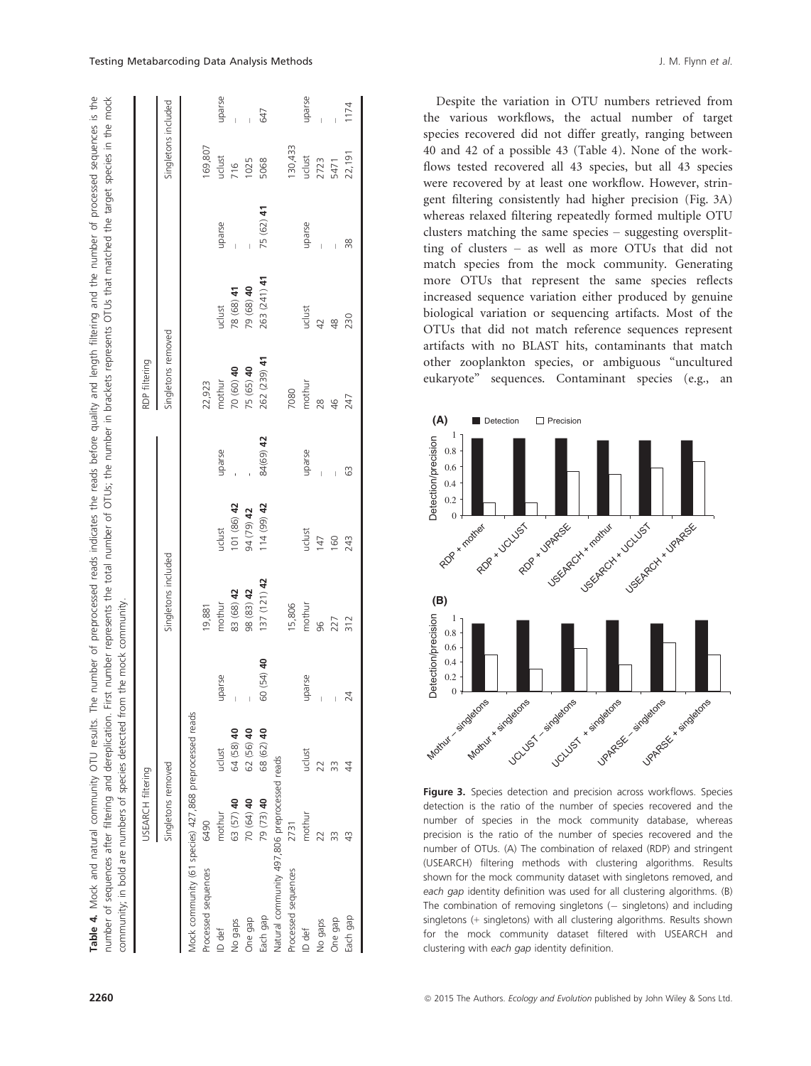| Table 4. Mock and natural community OTU results. The number of preprocessed reads indicates the reads before quality and length filtering and the number of processed sequences is the<br>number of sequences after filtering and dereplication. First number represents the total number of OTUs; the number in brackets represents OTUs that matched the target species in the mock<br>community; in bold are numbers of species detected from the mock community. |                    |            |               |                     |              |           |                    |               |             |                     |        |
|----------------------------------------------------------------------------------------------------------------------------------------------------------------------------------------------------------------------------------------------------------------------------------------------------------------------------------------------------------------------------------------------------------------------------------------------------------------------|--------------------|------------|---------------|---------------------|--------------|-----------|--------------------|---------------|-------------|---------------------|--------|
|                                                                                                                                                                                                                                                                                                                                                                                                                                                                      | USEARCH filtering  |            |               |                     |              |           | RDP filtering      |               |             |                     |        |
|                                                                                                                                                                                                                                                                                                                                                                                                                                                                      | Singletons removed |            |               | Singletons included |              |           | Singletons removed |               |             | Singletons included |        |
| Mock community (61 species) 427,868 preprocessed reads                                                                                                                                                                                                                                                                                                                                                                                                               |                    |            |               |                     |              |           |                    |               |             |                     |        |
| Processed sequences                                                                                                                                                                                                                                                                                                                                                                                                                                                  | 6490               |            |               | 19,881              |              |           | 22,923             |               |             | 169,807             |        |
| ID def                                                                                                                                                                                                                                                                                                                                                                                                                                                               | mothur             | uclust     | uparse        | mothur              | uclust       | uparse    | mothur             | uclust        | uparse      | uclust              | uparse |
| No gaps                                                                                                                                                                                                                                                                                                                                                                                                                                                              | 63 (57) 40         | 64 (58) 40 |               | 83 (68) 42          | $101(86)$ 42 |           | 70 (60) 40         | 78 (68) 41    |             | 716                 |        |
| One gap                                                                                                                                                                                                                                                                                                                                                                                                                                                              | 70 (64) 40         | 62 (56) 40 |               | 98 (83) 42          | 94 (79) 42   |           | 75 (65) 40         | 79 (68) 40    |             | 1025                |        |
| Each gap                                                                                                                                                                                                                                                                                                                                                                                                                                                             | 79 (73) 40         | 68 (62) 40 | 50 (54) 40    | 137(121)42          | 114 (99) 42  | 84(69) 42 | 262 (239) 41       | 263 (241) 41  | $75(62)$ 41 | 5068                | 647    |
| Natural community 497,806 preprocessed reads                                                                                                                                                                                                                                                                                                                                                                                                                         |                    |            |               |                     |              |           |                    |               |             |                     |        |
| Processed sequences                                                                                                                                                                                                                                                                                                                                                                                                                                                  | 2731               |            |               | 15,806              |              |           | 7080               |               |             | 130,433             |        |
| ID def                                                                                                                                                                                                                                                                                                                                                                                                                                                               | mothur             | uclust     | <b>uparse</b> | mothur              | uclust       | uparse    | mothur             | uclust        | uparse      | uclust              | uparse |
| No gaps                                                                                                                                                                                                                                                                                                                                                                                                                                                              |                    |            |               | 96                  | 147          |           | 28                 | 42            |             | 2723                |        |
| One gap                                                                                                                                                                                                                                                                                                                                                                                                                                                              |                    |            |               | 227                 | 160          |           | 46                 | $\frac{8}{3}$ |             | 5471                |        |
| Each gap                                                                                                                                                                                                                                                                                                                                                                                                                                                             |                    |            | 24            | 312                 | 243          | 63        | 247                | 230           | 88          | 22,191              | 1174   |
|                                                                                                                                                                                                                                                                                                                                                                                                                                                                      |                    |            |               |                     |              |           |                    |               |             |                     |        |

Despite the variation in OTU numbers retrieved from the various workflows, the actual number of target species recovered did not differ greatly, ranging between 40 and 42 of a possible 43 (Table 4). None of the workflows tested recovered all 43 species, but all 43 species were recovered by at least one workflow. However, stringent filtering consistently had higher precision (Fig. 3A) whereas relaxed filtering repeatedly formed multiple OTU clusters matching the same species – suggesting oversplitting of clusters – as well as more OTUs that did not match species from the mock community. Generating more OTUs that represent the same species reflects increased sequence variation either produced by genuine biological variation or sequencing artifacts. Most of the OTUs that did not match reference sequences represent artifacts with no BLAST hits, contaminants that match other zooplankton species, or ambiguous "uncultured eukaryote" sequences. Contaminant species (e.g., an



Figure 3. Species detection and precision across workflows. Species detection is the ratio of the number of species recovered and the number of species in the mock community database, whereas precision is the ratio of the number of species recovered and the number of OTUs. (A) The combination of relaxed (RDP) and stringent (USEARCH) filtering methods with clustering algorithms. Results shown for the mock community dataset with singletons removed, and each gap identity definition was used for all clustering algorithms. (B) The combination of removing singletons  $($  - singletons) and including singletons (+ singletons) with all clustering algorithms. Results shown for the mock community dataset filtered with USEARCH and clustering with each gap identity definition.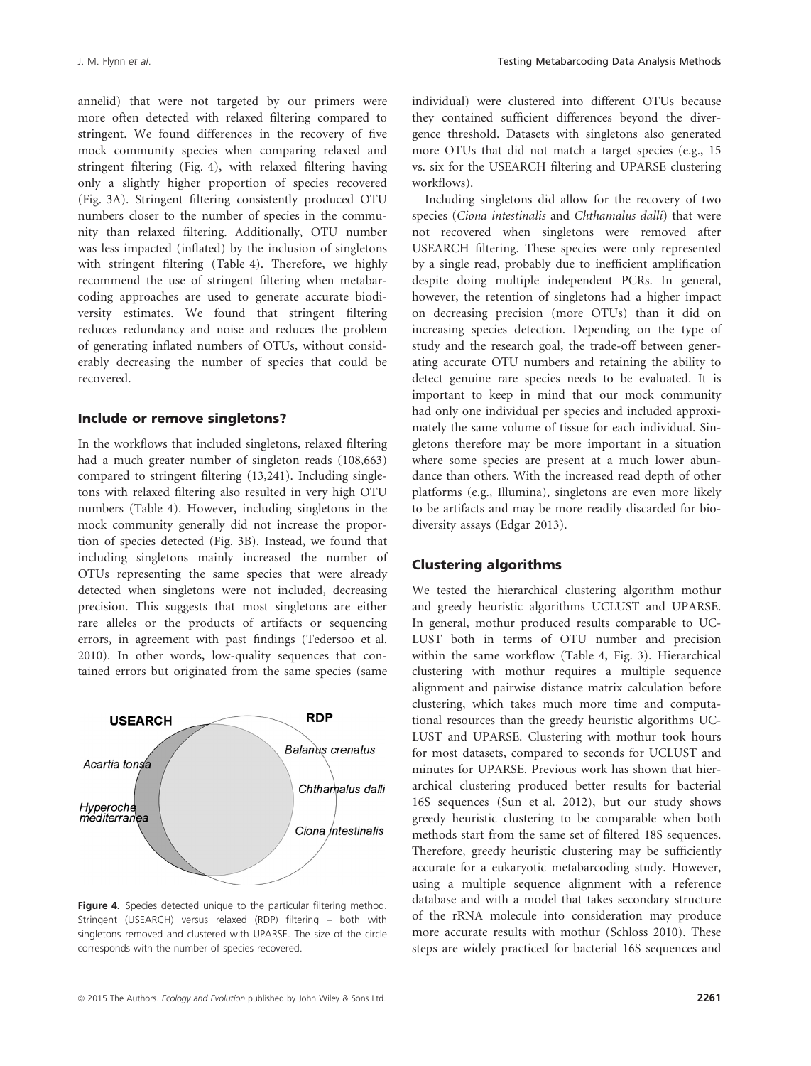annelid) that were not targeted by our primers were more often detected with relaxed filtering compared to stringent. We found differences in the recovery of five mock community species when comparing relaxed and stringent filtering (Fig. 4), with relaxed filtering having only a slightly higher proportion of species recovered (Fig. 3A). Stringent filtering consistently produced OTU numbers closer to the number of species in the community than relaxed filtering. Additionally, OTU number was less impacted (inflated) by the inclusion of singletons with stringent filtering (Table 4). Therefore, we highly recommend the use of stringent filtering when metabarcoding approaches are used to generate accurate biodiversity estimates. We found that stringent filtering reduces redundancy and noise and reduces the problem of generating inflated numbers of OTUs, without considerably decreasing the number of species that could be recovered.

#### Include or remove singletons?

In the workflows that included singletons, relaxed filtering had a much greater number of singleton reads (108,663) compared to stringent filtering (13,241). Including singletons with relaxed filtering also resulted in very high OTU numbers (Table 4). However, including singletons in the mock community generally did not increase the proportion of species detected (Fig. 3B). Instead, we found that including singletons mainly increased the number of OTUs representing the same species that were already detected when singletons were not included, decreasing precision. This suggests that most singletons are either rare alleles or the products of artifacts or sequencing errors, in agreement with past findings (Tedersoo et al. 2010). In other words, low-quality sequences that contained errors but originated from the same species (same



Figure 4. Species detected unique to the particular filtering method. Stringent (USEARCH) versus relaxed (RDP) filtering – both with singletons removed and clustered with UPARSE. The size of the circle corresponds with the number of species recovered.

individual) were clustered into different OTUs because they contained sufficient differences beyond the divergence threshold. Datasets with singletons also generated more OTUs that did not match a target species (e.g., 15 vs. six for the USEARCH filtering and UPARSE clustering workflows).

Including singletons did allow for the recovery of two species (Ciona intestinalis and Chthamalus dalli) that were not recovered when singletons were removed after USEARCH filtering. These species were only represented by a single read, probably due to inefficient amplification despite doing multiple independent PCRs. In general, however, the retention of singletons had a higher impact on decreasing precision (more OTUs) than it did on increasing species detection. Depending on the type of study and the research goal, the trade-off between generating accurate OTU numbers and retaining the ability to detect genuine rare species needs to be evaluated. It is important to keep in mind that our mock community had only one individual per species and included approximately the same volume of tissue for each individual. Singletons therefore may be more important in a situation where some species are present at a much lower abundance than others. With the increased read depth of other platforms (e.g., Illumina), singletons are even more likely to be artifacts and may be more readily discarded for biodiversity assays (Edgar 2013).

#### Clustering algorithms

We tested the hierarchical clustering algorithm mothur and greedy heuristic algorithms UCLUST and UPARSE. In general, mothur produced results comparable to UC-LUST both in terms of OTU number and precision within the same workflow (Table 4, Fig. 3). Hierarchical clustering with mothur requires a multiple sequence alignment and pairwise distance matrix calculation before clustering, which takes much more time and computational resources than the greedy heuristic algorithms UC-LUST and UPARSE. Clustering with mothur took hours for most datasets, compared to seconds for UCLUST and minutes for UPARSE. Previous work has shown that hierarchical clustering produced better results for bacterial 16S sequences (Sun et al. 2012), but our study shows greedy heuristic clustering to be comparable when both methods start from the same set of filtered 18S sequences. Therefore, greedy heuristic clustering may be sufficiently accurate for a eukaryotic metabarcoding study. However, using a multiple sequence alignment with a reference database and with a model that takes secondary structure of the rRNA molecule into consideration may produce more accurate results with mothur (Schloss 2010). These steps are widely practiced for bacterial 16S sequences and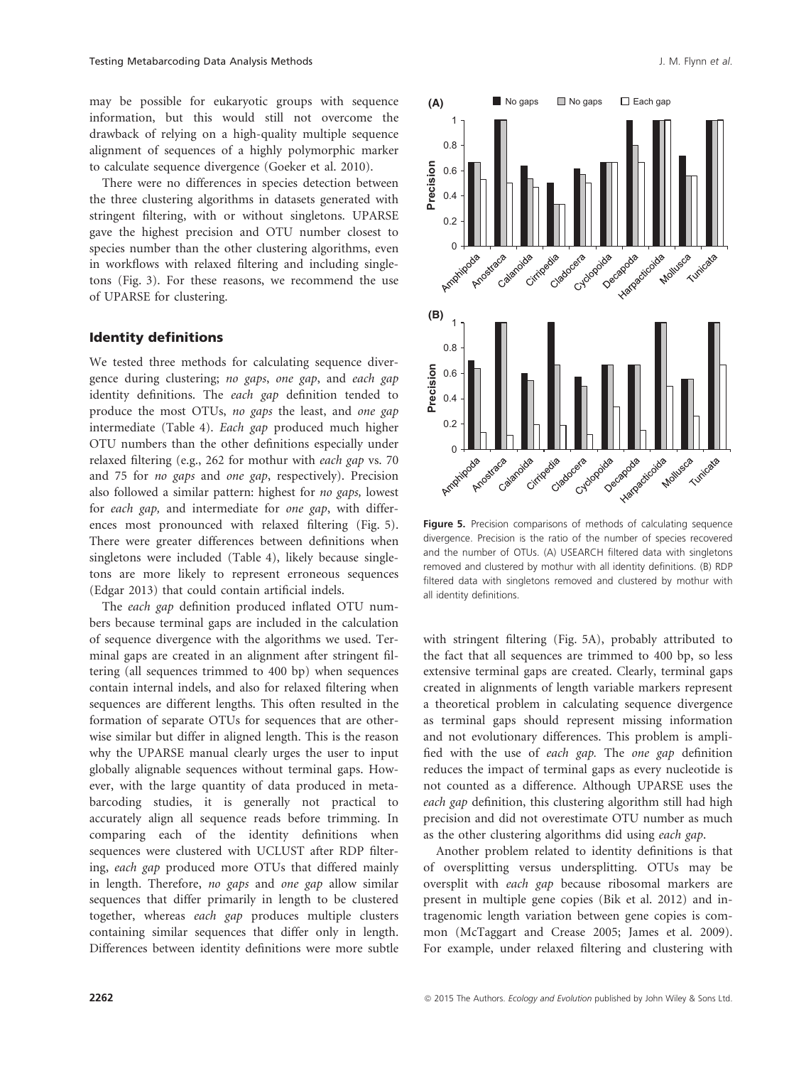may be possible for eukaryotic groups with sequence information, but this would still not overcome the drawback of relying on a high-quality multiple sequence alignment of sequences of a highly polymorphic marker to calculate sequence divergence (Goeker et al. 2010).

There were no differences in species detection between the three clustering algorithms in datasets generated with stringent filtering, with or without singletons. UPARSE gave the highest precision and OTU number closest to species number than the other clustering algorithms, even in workflows with relaxed filtering and including singletons (Fig. 3). For these reasons, we recommend the use of UPARSE for clustering.

# Identity definitions

We tested three methods for calculating sequence divergence during clustering; no gaps, one gap, and each gap identity definitions. The each gap definition tended to produce the most OTUs, no gaps the least, and one gap intermediate (Table 4). Each gap produced much higher OTU numbers than the other definitions especially under relaxed filtering (e.g., 262 for mothur with each gap vs. 70 and 75 for no gaps and one gap, respectively). Precision also followed a similar pattern: highest for no gaps, lowest for each gap, and intermediate for one gap, with differences most pronounced with relaxed filtering (Fig. 5). There were greater differences between definitions when singletons were included (Table 4), likely because singletons are more likely to represent erroneous sequences (Edgar 2013) that could contain artificial indels.

The each gap definition produced inflated OTU numbers because terminal gaps are included in the calculation of sequence divergence with the algorithms we used. Terminal gaps are created in an alignment after stringent filtering (all sequences trimmed to 400 bp) when sequences contain internal indels, and also for relaxed filtering when sequences are different lengths. This often resulted in the formation of separate OTUs for sequences that are otherwise similar but differ in aligned length. This is the reason why the UPARSE manual clearly urges the user to input globally alignable sequences without terminal gaps. However, with the large quantity of data produced in metabarcoding studies, it is generally not practical to accurately align all sequence reads before trimming. In comparing each of the identity definitions when sequences were clustered with UCLUST after RDP filtering, each gap produced more OTUs that differed mainly in length. Therefore, no gaps and one gap allow similar sequences that differ primarily in length to be clustered together, whereas each gap produces multiple clusters containing similar sequences that differ only in length. Differences between identity definitions were more subtle



Figure 5. Precision comparisons of methods of calculating sequence divergence. Precision is the ratio of the number of species recovered and the number of OTUs. (A) USEARCH filtered data with singletons removed and clustered by mothur with all identity definitions. (B) RDP filtered data with singletons removed and clustered by mothur with all identity definitions.

with stringent filtering (Fig. 5A), probably attributed to the fact that all sequences are trimmed to 400 bp, so less extensive terminal gaps are created. Clearly, terminal gaps created in alignments of length variable markers represent a theoretical problem in calculating sequence divergence as terminal gaps should represent missing information and not evolutionary differences. This problem is amplified with the use of each gap. The one gap definition reduces the impact of terminal gaps as every nucleotide is not counted as a difference. Although UPARSE uses the each gap definition, this clustering algorithm still had high precision and did not overestimate OTU number as much as the other clustering algorithms did using each gap.

Another problem related to identity definitions is that of oversplitting versus undersplitting. OTUs may be oversplit with each gap because ribosomal markers are present in multiple gene copies (Bik et al. 2012) and intragenomic length variation between gene copies is common (McTaggart and Crease 2005; James et al. 2009). For example, under relaxed filtering and clustering with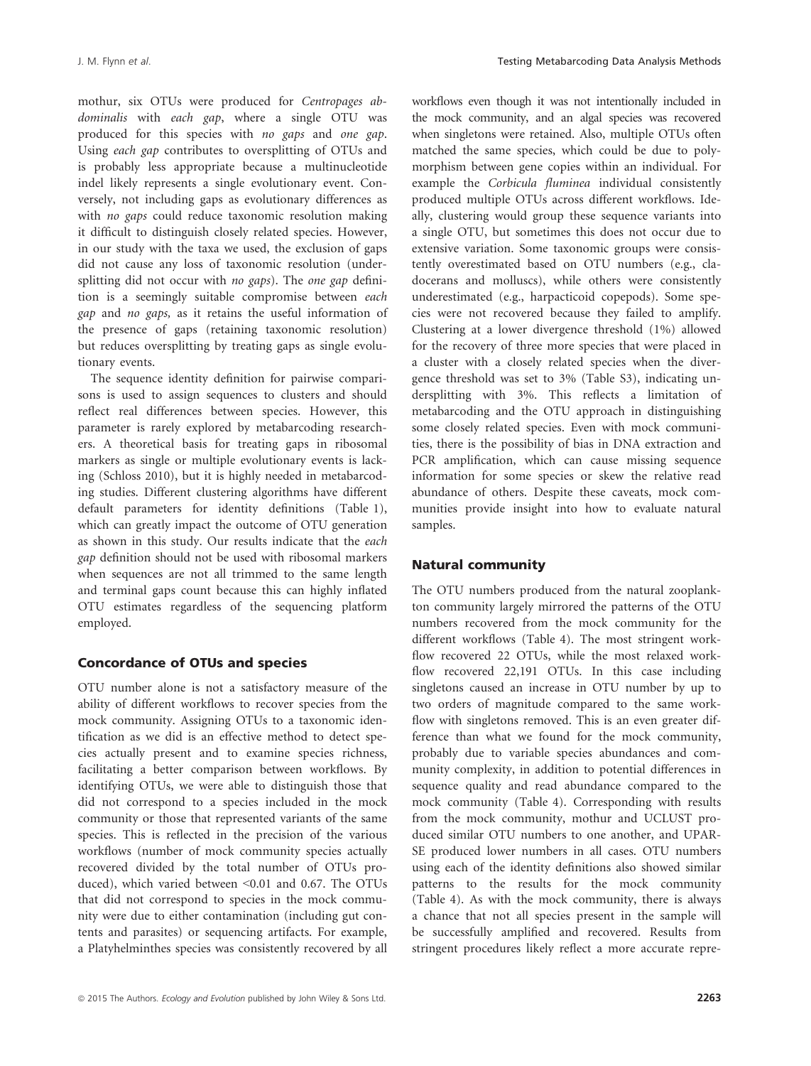mothur, six OTUs were produced for Centropages abdominalis with each gap, where a single OTU was produced for this species with no gaps and one gap. Using each gap contributes to oversplitting of OTUs and is probably less appropriate because a multinucleotide indel likely represents a single evolutionary event. Conversely, not including gaps as evolutionary differences as with no gaps could reduce taxonomic resolution making it difficult to distinguish closely related species. However, in our study with the taxa we used, the exclusion of gaps did not cause any loss of taxonomic resolution (undersplitting did not occur with no gaps). The one gap definition is a seemingly suitable compromise between each gap and no gaps, as it retains the useful information of the presence of gaps (retaining taxonomic resolution) but reduces oversplitting by treating gaps as single evolutionary events.

The sequence identity definition for pairwise comparisons is used to assign sequences to clusters and should reflect real differences between species. However, this parameter is rarely explored by metabarcoding researchers. A theoretical basis for treating gaps in ribosomal markers as single or multiple evolutionary events is lacking (Schloss 2010), but it is highly needed in metabarcoding studies. Different clustering algorithms have different default parameters for identity definitions (Table 1), which can greatly impact the outcome of OTU generation as shown in this study. Our results indicate that the each gap definition should not be used with ribosomal markers when sequences are not all trimmed to the same length and terminal gaps count because this can highly inflated OTU estimates regardless of the sequencing platform employed.

# Concordance of OTUs and species

OTU number alone is not a satisfactory measure of the ability of different workflows to recover species from the mock community. Assigning OTUs to a taxonomic identification as we did is an effective method to detect species actually present and to examine species richness, facilitating a better comparison between workflows. By identifying OTUs, we were able to distinguish those that did not correspond to a species included in the mock community or those that represented variants of the same species. This is reflected in the precision of the various workflows (number of mock community species actually recovered divided by the total number of OTUs produced), which varied between <0.01 and 0.67. The OTUs that did not correspond to species in the mock community were due to either contamination (including gut contents and parasites) or sequencing artifacts. For example, a Platyhelminthes species was consistently recovered by all workflows even though it was not intentionally included in the mock community, and an algal species was recovered when singletons were retained. Also, multiple OTUs often matched the same species, which could be due to polymorphism between gene copies within an individual. For example the Corbicula fluminea individual consistently produced multiple OTUs across different workflows. Ideally, clustering would group these sequence variants into a single OTU, but sometimes this does not occur due to extensive variation. Some taxonomic groups were consistently overestimated based on OTU numbers (e.g., cladocerans and molluscs), while others were consistently underestimated (e.g., harpacticoid copepods). Some species were not recovered because they failed to amplify. Clustering at a lower divergence threshold (1%) allowed for the recovery of three more species that were placed in a cluster with a closely related species when the divergence threshold was set to 3% (Table S3), indicating undersplitting with 3%. This reflects a limitation of metabarcoding and the OTU approach in distinguishing some closely related species. Even with mock communities, there is the possibility of bias in DNA extraction and PCR amplification, which can cause missing sequence information for some species or skew the relative read abundance of others. Despite these caveats, mock communities provide insight into how to evaluate natural samples.

#### Natural community

The OTU numbers produced from the natural zooplankton community largely mirrored the patterns of the OTU numbers recovered from the mock community for the different workflows (Table 4). The most stringent workflow recovered 22 OTUs, while the most relaxed workflow recovered 22,191 OTUs. In this case including singletons caused an increase in OTU number by up to two orders of magnitude compared to the same workflow with singletons removed. This is an even greater difference than what we found for the mock community, probably due to variable species abundances and community complexity, in addition to potential differences in sequence quality and read abundance compared to the mock community (Table 4). Corresponding with results from the mock community, mothur and UCLUST produced similar OTU numbers to one another, and UPAR-SE produced lower numbers in all cases. OTU numbers using each of the identity definitions also showed similar patterns to the results for the mock community (Table 4). As with the mock community, there is always a chance that not all species present in the sample will be successfully amplified and recovered. Results from stringent procedures likely reflect a more accurate repre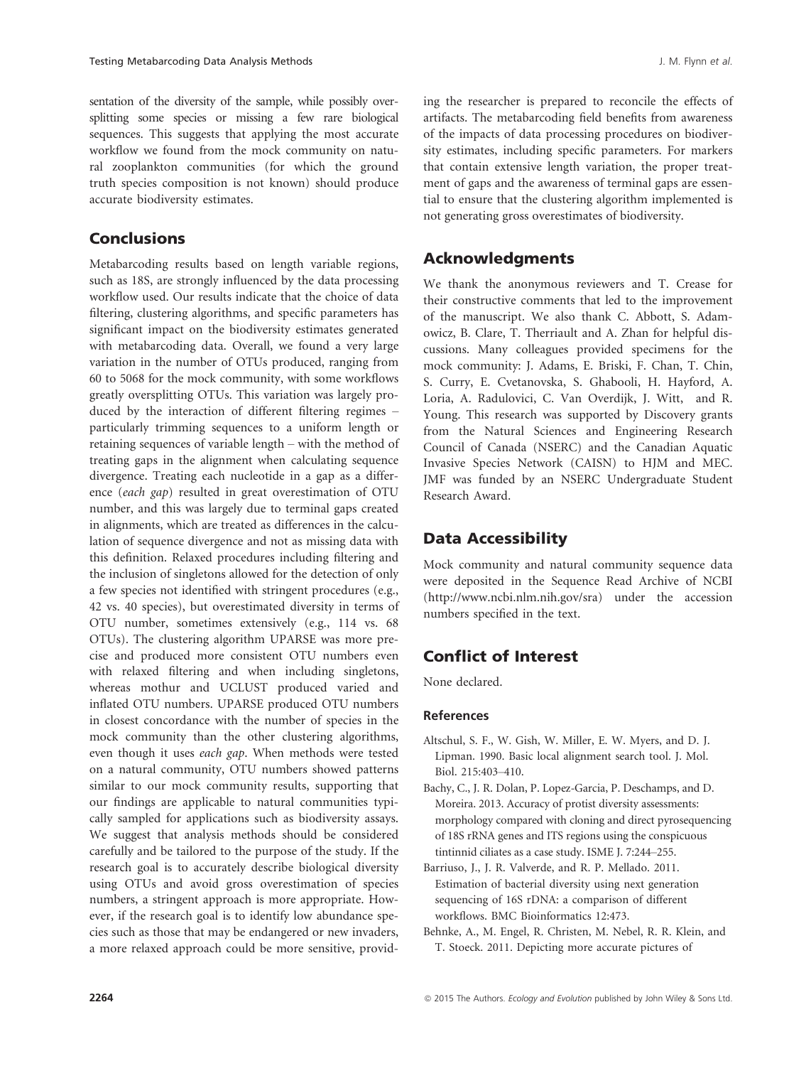sentation of the diversity of the sample, while possibly oversplitting some species or missing a few rare biological sequences. This suggests that applying the most accurate workflow we found from the mock community on natural zooplankton communities (for which the ground truth species composition is not known) should produce accurate biodiversity estimates.

# Conclusions

Metabarcoding results based on length variable regions, such as 18S, are strongly influenced by the data processing workflow used. Our results indicate that the choice of data filtering, clustering algorithms, and specific parameters has significant impact on the biodiversity estimates generated with metabarcoding data. Overall, we found a very large variation in the number of OTUs produced, ranging from 60 to 5068 for the mock community, with some workflows greatly oversplitting OTUs. This variation was largely produced by the interaction of different filtering regimes – particularly trimming sequences to a uniform length or retaining sequences of variable length – with the method of treating gaps in the alignment when calculating sequence divergence. Treating each nucleotide in a gap as a difference (each gap) resulted in great overestimation of OTU number, and this was largely due to terminal gaps created in alignments, which are treated as differences in the calculation of sequence divergence and not as missing data with this definition. Relaxed procedures including filtering and the inclusion of singletons allowed for the detection of only a few species not identified with stringent procedures (e.g., 42 vs. 40 species), but overestimated diversity in terms of OTU number, sometimes extensively (e.g., 114 vs. 68 OTUs). The clustering algorithm UPARSE was more precise and produced more consistent OTU numbers even with relaxed filtering and when including singletons, whereas mothur and UCLUST produced varied and inflated OTU numbers. UPARSE produced OTU numbers in closest concordance with the number of species in the mock community than the other clustering algorithms, even though it uses each gap. When methods were tested on a natural community, OTU numbers showed patterns similar to our mock community results, supporting that our findings are applicable to natural communities typically sampled for applications such as biodiversity assays. We suggest that analysis methods should be considered carefully and be tailored to the purpose of the study. If the research goal is to accurately describe biological diversity using OTUs and avoid gross overestimation of species numbers, a stringent approach is more appropriate. However, if the research goal is to identify low abundance species such as those that may be endangered or new invaders, a more relaxed approach could be more sensitive, providing the researcher is prepared to reconcile the effects of artifacts. The metabarcoding field benefits from awareness of the impacts of data processing procedures on biodiversity estimates, including specific parameters. For markers that contain extensive length variation, the proper treatment of gaps and the awareness of terminal gaps are essential to ensure that the clustering algorithm implemented is not generating gross overestimates of biodiversity.

# Acknowledgments

We thank the anonymous reviewers and T. Crease for their constructive comments that led to the improvement of the manuscript. We also thank C. Abbott, S. Adamowicz, B. Clare, T. Therriault and A. Zhan for helpful discussions. Many colleagues provided specimens for the mock community: J. Adams, E. Briski, F. Chan, T. Chin, S. Curry, E. Cvetanovska, S. Ghabooli, H. Hayford, A. Loria, A. Radulovici, C. Van Overdijk, J. Witt, and R. Young. This research was supported by Discovery grants from the Natural Sciences and Engineering Research Council of Canada (NSERC) and the Canadian Aquatic Invasive Species Network (CAISN) to HJM and MEC. JMF was funded by an NSERC Undergraduate Student Research Award.

# Data Accessibility

Mock community and natural community sequence data were deposited in the Sequence Read Archive of NCBI [\(http://www.ncbi.nlm.nih.gov/sra](http://www.ncbi.nlm.nih.gov/sra)) under the accession numbers specified in the text.

# Conflict of Interest

None declared.

# References

- Altschul, S. F., W. Gish, W. Miller, E. W. Myers, and D. J. Lipman. 1990. Basic local alignment search tool. J. Mol. Biol. 215:403–410.
- Bachy, C., J. R. Dolan, P. Lopez-Garcia, P. Deschamps, and D. Moreira. 2013. Accuracy of protist diversity assessments: morphology compared with cloning and direct pyrosequencing of 18S rRNA genes and ITS regions using the conspicuous tintinnid ciliates as a case study. ISME J. 7:244–255.
- Barriuso, J., J. R. Valverde, and R. P. Mellado. 2011. Estimation of bacterial diversity using next generation sequencing of 16S rDNA: a comparison of different workflows. BMC Bioinformatics 12:473.
- Behnke, A., M. Engel, R. Christen, M. Nebel, R. R. Klein, and T. Stoeck. 2011. Depicting more accurate pictures of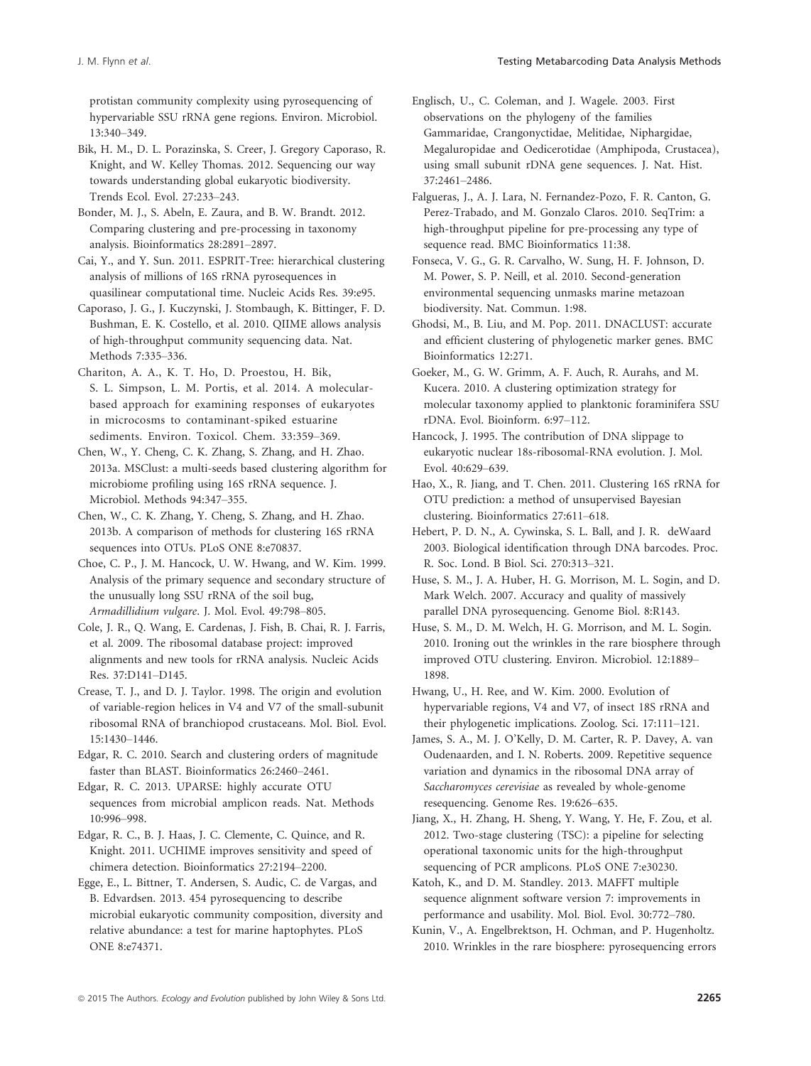protistan community complexity using pyrosequencing of hypervariable SSU rRNA gene regions. Environ. Microbiol. 13:340–349.

Bik, H. M., D. L. Porazinska, S. Creer, J. Gregory Caporaso, R. Knight, and W. Kelley Thomas. 2012. Sequencing our way towards understanding global eukaryotic biodiversity. Trends Ecol. Evol. 27:233–243.

Bonder, M. J., S. Abeln, E. Zaura, and B. W. Brandt. 2012. Comparing clustering and pre-processing in taxonomy analysis. Bioinformatics 28:2891–2897.

Cai, Y., and Y. Sun. 2011. ESPRIT-Tree: hierarchical clustering analysis of millions of 16S rRNA pyrosequences in quasilinear computational time. Nucleic Acids Res. 39:e95.

Caporaso, J. G., J. Kuczynski, J. Stombaugh, K. Bittinger, F. D. Bushman, E. K. Costello, et al. 2010. QIIME allows analysis of high-throughput community sequencing data. Nat. Methods 7:335–336.

Chariton, A. A., K. T. Ho, D. Proestou, H. Bik, S. L. Simpson, L. M. Portis, et al. 2014. A molecularbased approach for examining responses of eukaryotes in microcosms to contaminant-spiked estuarine sediments. Environ. Toxicol. Chem. 33:359–369.

Chen, W., Y. Cheng, C. K. Zhang, S. Zhang, and H. Zhao. 2013a. MSClust: a multi-seeds based clustering algorithm for microbiome profiling using 16S rRNA sequence. J. Microbiol. Methods 94:347–355.

Chen, W., C. K. Zhang, Y. Cheng, S. Zhang, and H. Zhao. 2013b. A comparison of methods for clustering 16S rRNA sequences into OTUs. PLoS ONE 8:e70837.

Choe, C. P., J. M. Hancock, U. W. Hwang, and W. Kim. 1999. Analysis of the primary sequence and secondary structure of the unusually long SSU rRNA of the soil bug, Armadillidium vulgare. J. Mol. Evol. 49:798–805.

Cole, J. R., Q. Wang, E. Cardenas, J. Fish, B. Chai, R. J. Farris, et al. 2009. The ribosomal database project: improved alignments and new tools for rRNA analysis. Nucleic Acids Res. 37:D141–D145.

Crease, T. J., and D. J. Taylor. 1998. The origin and evolution of variable-region helices in V4 and V7 of the small-subunit ribosomal RNA of branchiopod crustaceans. Mol. Biol. Evol. 15:1430–1446.

Edgar, R. C. 2010. Search and clustering orders of magnitude faster than BLAST. Bioinformatics 26:2460–2461.

Edgar, R. C. 2013. UPARSE: highly accurate OTU sequences from microbial amplicon reads. Nat. Methods 10:996–998.

Edgar, R. C., B. J. Haas, J. C. Clemente, C. Quince, and R. Knight. 2011. UCHIME improves sensitivity and speed of chimera detection. Bioinformatics 27:2194–2200.

Egge, E., L. Bittner, T. Andersen, S. Audic, C. de Vargas, and B. Edvardsen. 2013. 454 pyrosequencing to describe microbial eukaryotic community composition, diversity and relative abundance: a test for marine haptophytes. PLoS ONE 8:e74371.

Englisch, U., C. Coleman, and J. Wagele. 2003. First observations on the phylogeny of the families Gammaridae, Crangonyctidae, Melitidae, Niphargidae, Megaluropidae and Oedicerotidae (Amphipoda, Crustacea), using small subunit rDNA gene sequences. J. Nat. Hist. 37:2461–2486.

Falgueras, J., A. J. Lara, N. Fernandez-Pozo, F. R. Canton, G. Perez-Trabado, and M. Gonzalo Claros. 2010. SeqTrim: a high-throughput pipeline for pre-processing any type of sequence read. BMC Bioinformatics 11:38.

Fonseca, V. G., G. R. Carvalho, W. Sung, H. F. Johnson, D. M. Power, S. P. Neill, et al. 2010. Second-generation environmental sequencing unmasks marine metazoan biodiversity. Nat. Commun. 1:98.

Ghodsi, M., B. Liu, and M. Pop. 2011. DNACLUST: accurate and efficient clustering of phylogenetic marker genes. BMC Bioinformatics 12:271.

Goeker, M., G. W. Grimm, A. F. Auch, R. Aurahs, and M. Kucera. 2010. A clustering optimization strategy for molecular taxonomy applied to planktonic foraminifera SSU rDNA. Evol. Bioinform. 6:97–112.

Hancock, J. 1995. The contribution of DNA slippage to eukaryotic nuclear 18s-ribosomal-RNA evolution. J. Mol. Evol. 40:629–639.

Hao, X., R. Jiang, and T. Chen. 2011. Clustering 16S rRNA for OTU prediction: a method of unsupervised Bayesian clustering. Bioinformatics 27:611–618.

Hebert, P. D. N., A. Cywinska, S. L. Ball, and J. R. deWaard 2003. Biological identification through DNA barcodes. Proc. R. Soc. Lond. B Biol. Sci. 270:313–321.

Huse, S. M., J. A. Huber, H. G. Morrison, M. L. Sogin, and D. Mark Welch. 2007. Accuracy and quality of massively parallel DNA pyrosequencing. Genome Biol. 8:R143.

Huse, S. M., D. M. Welch, H. G. Morrison, and M. L. Sogin. 2010. Ironing out the wrinkles in the rare biosphere through improved OTU clustering. Environ. Microbiol. 12:1889– 1898.

Hwang, U., H. Ree, and W. Kim. 2000. Evolution of hypervariable regions, V4 and V7, of insect 18S rRNA and their phylogenetic implications. Zoolog. Sci. 17:111–121.

James, S. A., M. J. O'Kelly, D. M. Carter, R. P. Davey, A. van Oudenaarden, and I. N. Roberts. 2009. Repetitive sequence variation and dynamics in the ribosomal DNA array of Saccharomyces cerevisiae as revealed by whole-genome resequencing. Genome Res. 19:626–635.

Jiang, X., H. Zhang, H. Sheng, Y. Wang, Y. He, F. Zou, et al. 2012. Two-stage clustering (TSC): a pipeline for selecting operational taxonomic units for the high-throughput sequencing of PCR amplicons. PLoS ONE 7:e30230.

Katoh, K., and D. M. Standley. 2013. MAFFT multiple sequence alignment software version 7: improvements in performance and usability. Mol. Biol. Evol. 30:772–780.

Kunin, V., A. Engelbrektson, H. Ochman, and P. Hugenholtz. 2010. Wrinkles in the rare biosphere: pyrosequencing errors